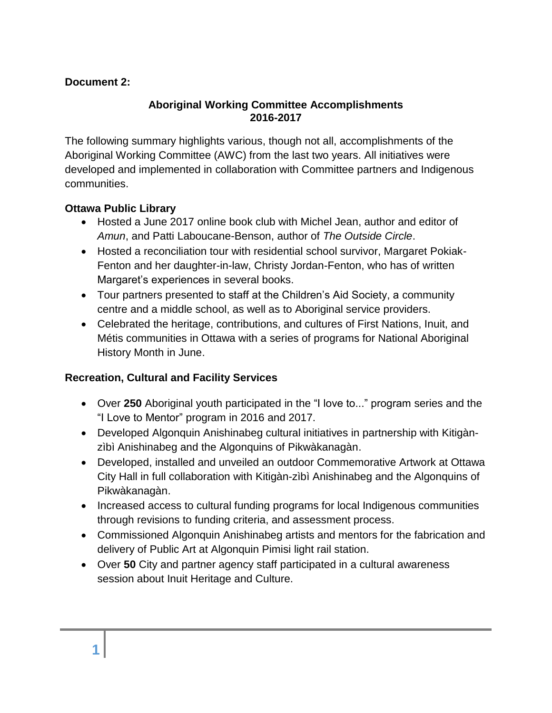### **Document 2:**

#### **Aboriginal Working Committee Accomplishments 2016-2017**

The following summary highlights various, though not all, accomplishments of the Aboriginal Working Committee (AWC) from the last two years. All initiatives were developed and implemented in collaboration with Committee partners and Indigenous communities.

#### **Ottawa Public Library**

- Hosted a June 2017 online book club with Michel Jean, author and editor of *Amun*, and Patti Laboucane-Benson, author of *The Outside Circle*.
- Hosted a reconciliation tour with residential school survivor, Margaret Pokiak-Fenton and her daughter-in-law, Christy Jordan-Fenton, who has of written Margaret's experiences in several books.
- Tour partners presented to staff at the Children's Aid Society, a community centre and a middle school, as well as to Aboriginal service providers.
- Celebrated the heritage, contributions, and cultures of First Nations, Inuit, and Métis communities in Ottawa with a series of programs for National Aboriginal History Month in June.

#### **Recreation, Cultural and Facility Services**

- Over **250** Aboriginal youth participated in the "I love to..." program series and the "I Love to Mentor" program in 2016 and 2017.
- Developed Algonquin Anishinabeg cultural initiatives in partnership with Kitigànzìbì Anishinabeg and the Algonquins of Pikwàkanagàn.
- Developed, installed and unveiled an outdoor Commemorative Artwork at Ottawa City Hall in full collaboration with Kitigàn-zìbì Anishinabeg and the Algonquins of Pikwàkanagàn.
- Increased access to cultural funding programs for local Indigenous communities through revisions to funding criteria, and assessment process.
- Commissioned Algonquin Anishinabeg artists and mentors for the fabrication and delivery of Public Art at Algonquin Pimisi light rail station.
- Over **50** City and partner agency staff participated in a cultural awareness session about Inuit Heritage and Culture.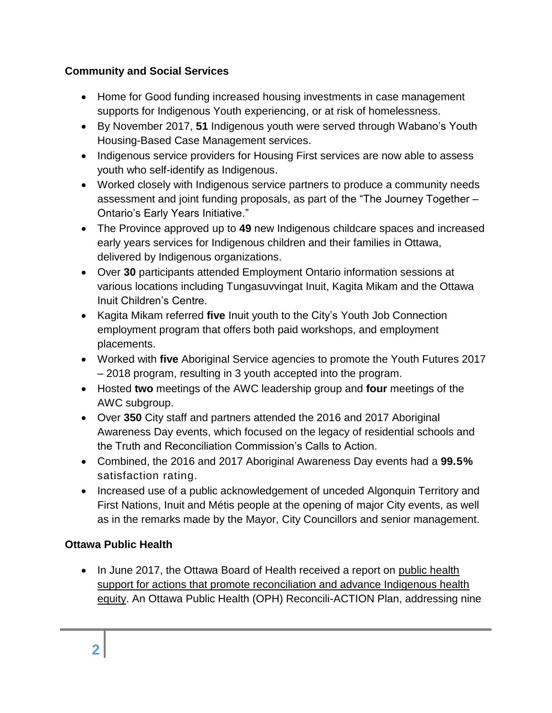## **Community and Social Services**

- Home for Good funding increased housing investments in case management supports for Indigenous Youth experiencing, or at risk of homelessness.
- By November 2017, **51** Indigenous youth were served through Wabano's Youth Housing-Based Case Management services.
- Indigenous service providers for Housing First services are now able to assess youth who self-identify as Indigenous.
- Worked closely with Indigenous service partners to produce a community needs assessment and joint funding proposals, as part of the "The Journey Together – Ontario's Early Years Initiative."
- The Province approved up to **49** new Indigenous childcare spaces and increased early years services for Indigenous children and their families in Ottawa, delivered by Indigenous organizations.
- Over **30** participants attended Employment Ontario information sessions at various locations including Tungasuvvingat Inuit, Kagita Mikam and the Ottawa Inuit Children's Centre.
- Kagita Mikam referred **five** Inuit youth to the City's Youth Job Connection employment program that offers both paid workshops, and employment placements.
- Worked with **five** Aboriginal Service agencies to promote the Youth Futures 2017 – 2018 program, resulting in 3 youth accepted into the program.
- Hosted **two** meetings of the AWC leadership group and **four** meetings of the AWC subgroup.
- Over **350** City staff and partners attended the 2016 and 2017 Aboriginal Awareness Day events, which focused on the legacy of residential schools and the Truth and Reconciliation Commission's Calls to Action.
- Combined, the 2016 and 2017 Aboriginal Awareness Day events had a **99.5%** satisfaction rating.
- Increased use of a public acknowledgement of unceded Algonquin Territory and First Nations, Inuit and Métis people at the opening of major City events, as well as in the remarks made by the Mayor, City Councillors and senior management.

# **Ottawa Public Health**

• In June 2017, the Ottawa Board of Health received a report on public health [support for actions that promote reconciliation and advance Indigenous health](http://app05.ottawa.ca/sirepub/cache/2/sxnkihqvryzlv44dqnltm2ph/45787902142018094121523.PDF)  [equity.](http://app05.ottawa.ca/sirepub/cache/2/sxnkihqvryzlv44dqnltm2ph/45787902142018094121523.PDF) An Ottawa Public Health (OPH) Reconcili-ACTION Plan, addressing nine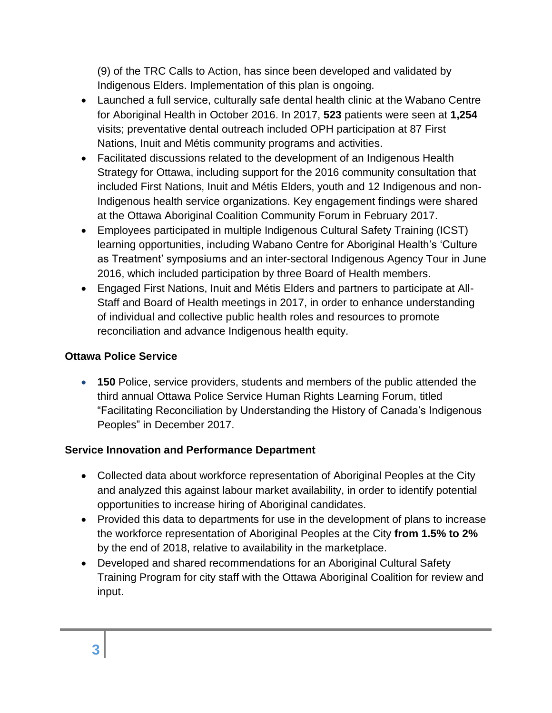(9) of the TRC Calls to Action, has since been developed and validated by Indigenous Elders. Implementation of this plan is ongoing.

- Launched a full service, culturally safe dental health clinic at the Wabano Centre for Aboriginal Health in October 2016. In 2017, **523** patients were seen at **1,254**  visits; preventative dental outreach included OPH participation at 87 First Nations, Inuit and Métis community programs and activities.
- Facilitated discussions related to the development of an Indigenous Health Strategy for Ottawa, including support for the 2016 community consultation that included First Nations, Inuit and Métis Elders, youth and 12 Indigenous and non-Indigenous health service organizations. Key engagement findings were shared at the Ottawa Aboriginal Coalition Community Forum in February 2017.
- Employees participated in multiple Indigenous Cultural Safety Training (ICST) learning opportunities, including Wabano Centre for Aboriginal Health's 'Culture as Treatment' symposiums and an inter-sectoral Indigenous Agency Tour in June 2016, which included participation by three Board of Health members.
- Engaged First Nations, Inuit and Métis Elders and partners to participate at All-Staff and Board of Health meetings in 2017, in order to enhance understanding of individual and collective public health roles and resources to promote reconciliation and advance Indigenous health equity.

#### **Ottawa Police Service**

 **150** Police, service providers, students and members of the public attended the third annual Ottawa Police Service Human Rights Learning Forum, titled "Facilitating Reconciliation by Understanding the History of Canada's Indigenous Peoples" in December 2017.

## **Service Innovation and Performance Department**

- Collected data about workforce representation of Aboriginal Peoples at the City and analyzed this against labour market availability, in order to identify potential opportunities to increase hiring of Aboriginal candidates.
- Provided this data to departments for use in the development of plans to increase the workforce representation of Aboriginal Peoples at the City **from 1.5% to 2%** by the end of 2018, relative to availability in the marketplace.
- Developed and shared recommendations for an Aboriginal Cultural Safety Training Program for city staff with the Ottawa Aboriginal Coalition for review and input.